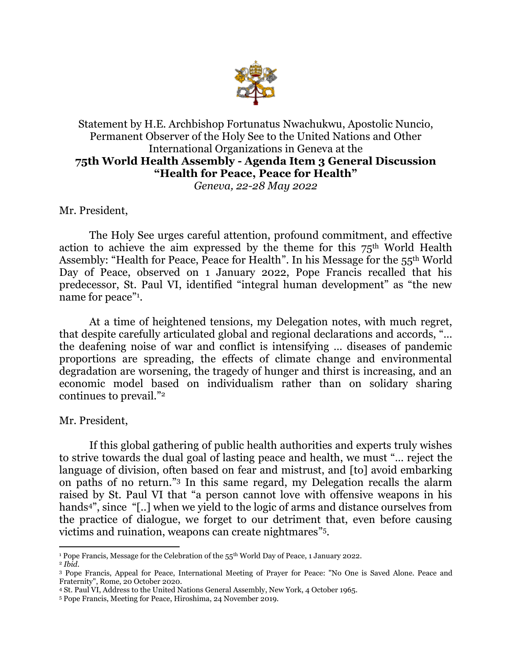

## Statement by H.E. Archbishop Fortunatus Nwachukwu, Apostolic Nuncio, Permanent Observer of the Holy See to the United Nations and Other International Organizations in Geneva at the **75th World Health Assembly - Agenda Item 3 General Discussion "Health for Peace, Peace for Health"** *Geneva, 22-28 May 2022*

Mr. President,

The Holy See urges careful attention, profound commitment, and effective action to achieve the aim expressed by the theme for this  $75<sup>th</sup>$  World Health Assembly: "Health for Peace, Peace for Health". In his Message for the 55<sup>th</sup> World Day of Peace, observed on 1 January 2022, Pope Francis recalled that his predecessor, St. Paul VI, identified "integral human development" as "the new name for peace"<sup>1</sup>.

At a time of heightened tensions, my Delegation notes, with much regret, that despite carefully articulated global and regional declarations and accords, "… the deafening noise of war and conflict is intensifying … diseases of pandemic proportions are spreading, the effects of climate change and environmental degradation are worsening, the tragedy of hunger and thirst is increasing, and an economic model based on individualism rather than on solidary sharing continues to prevail."<sup>2</sup>

Mr. President,

If this global gathering of public health authorities and experts truly wishes to strive towards the dual goal of lasting peace and health, we must "… reject the language of division, often based on fear and mistrust, and [to] avoid embarking on paths of no return." <sup>3</sup> In this same regard, my Delegation recalls the alarm raised by St. Paul VI that "a person cannot love with offensive weapons in his hands<sup>4"</sup>, since "[..] when we yield to the logic of arms and distance ourselves from the practice of dialogue, we forget to our detriment that, even before causing victims and ruination, weapons can create nightmares" 5 .

<sup>&</sup>lt;sup>1</sup> Pope Francis, Message for the Celebration of the 55<sup>th</sup> World Day of Peace, 1 January 2022.

<sup>2</sup> *Ibid.* 

<sup>3</sup> Pope Francis, Appeal for Peace, International Meeting of Prayer for Peace: "No One is Saved Alone. Peace and Fraternity", Rome, 20 October 2020.

<sup>4</sup> St. Paul VI, Address to the United Nations General Assembly, New York, 4 October 1965.

<sup>5</sup> Pope Francis, Meeting for Peace, Hiroshima, 24 November 2019.